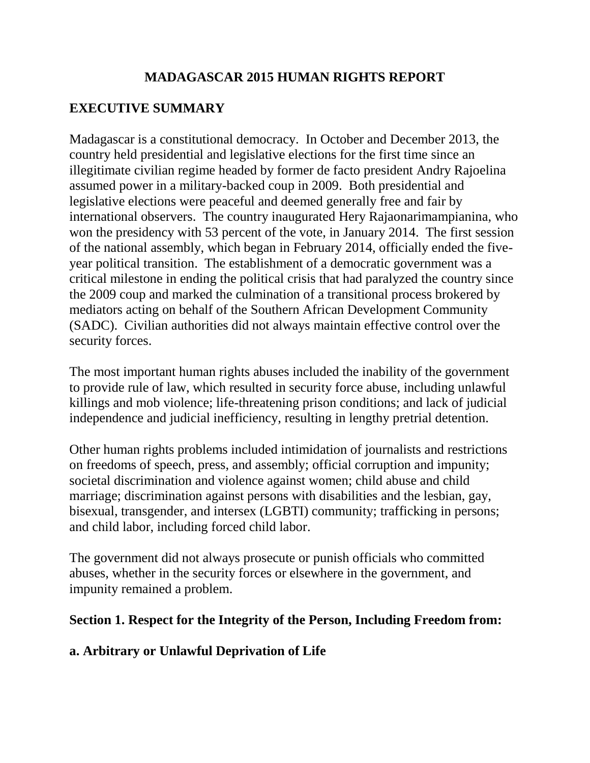## **MADAGASCAR 2015 HUMAN RIGHTS REPORT**

# **EXECUTIVE SUMMARY**

Madagascar is a constitutional democracy. In October and December 2013, the country held presidential and legislative elections for the first time since an illegitimate civilian regime headed by former de facto president Andry Rajoelina assumed power in a military-backed coup in 2009. Both presidential and legislative elections were peaceful and deemed generally free and fair by international observers. The country inaugurated Hery Rajaonarimampianina, who won the presidency with 53 percent of the vote, in January 2014. The first session of the national assembly, which began in February 2014, officially ended the fiveyear political transition. The establishment of a democratic government was a critical milestone in ending the political crisis that had paralyzed the country since the 2009 coup and marked the culmination of a transitional process brokered by mediators acting on behalf of the Southern African Development Community (SADC). Civilian authorities did not always maintain effective control over the security forces.

The most important human rights abuses included the inability of the government to provide rule of law, which resulted in security force abuse, including unlawful killings and mob violence; life-threatening prison conditions; and lack of judicial independence and judicial inefficiency, resulting in lengthy pretrial detention.

Other human rights problems included intimidation of journalists and restrictions on freedoms of speech, press, and assembly; official corruption and impunity; societal discrimination and violence against women; child abuse and child marriage; discrimination against persons with disabilities and the lesbian, gay, bisexual, transgender, and intersex (LGBTI) community; trafficking in persons; and child labor, including forced child labor.

The government did not always prosecute or punish officials who committed abuses, whether in the security forces or elsewhere in the government, and impunity remained a problem.

#### **Section 1. Respect for the Integrity of the Person, Including Freedom from:**

## **a. Arbitrary or Unlawful Deprivation of Life**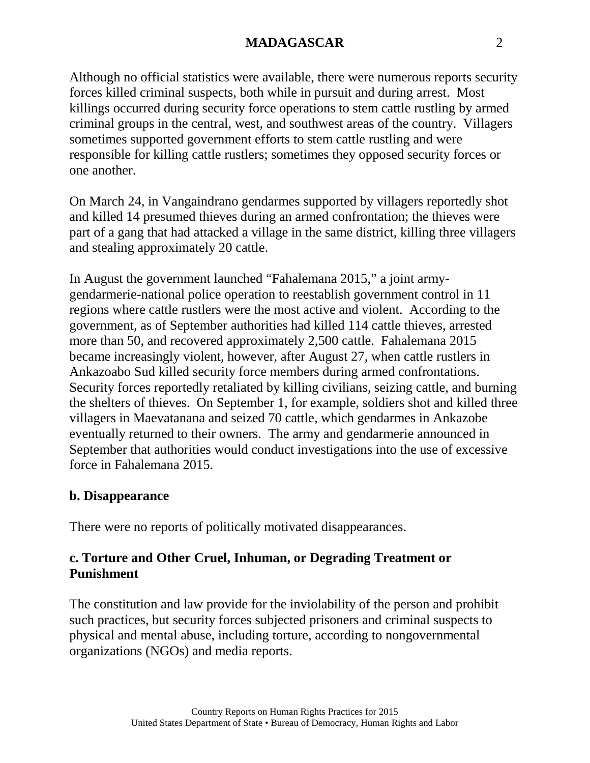Although no official statistics were available, there were numerous reports security forces killed criminal suspects, both while in pursuit and during arrest. Most killings occurred during security force operations to stem cattle rustling by armed criminal groups in the central, west, and southwest areas of the country. Villagers sometimes supported government efforts to stem cattle rustling and were responsible for killing cattle rustlers; sometimes they opposed security forces or one another.

On March 24, in Vangaindrano gendarmes supported by villagers reportedly shot and killed 14 presumed thieves during an armed confrontation; the thieves were part of a gang that had attacked a village in the same district, killing three villagers and stealing approximately 20 cattle.

In August the government launched "Fahalemana 2015," a joint armygendarmerie-national police operation to reestablish government control in 11 regions where cattle rustlers were the most active and violent. According to the government, as of September authorities had killed 114 cattle thieves, arrested more than 50, and recovered approximately 2,500 cattle. Fahalemana 2015 became increasingly violent, however, after August 27, when cattle rustlers in Ankazoabo Sud killed security force members during armed confrontations. Security forces reportedly retaliated by killing civilians, seizing cattle, and burning the shelters of thieves. On September 1, for example, soldiers shot and killed three villagers in Maevatanana and seized 70 cattle, which gendarmes in Ankazobe eventually returned to their owners. The army and gendarmerie announced in September that authorities would conduct investigations into the use of excessive force in Fahalemana 2015.

#### **b. Disappearance**

There were no reports of politically motivated disappearances.

## **c. Torture and Other Cruel, Inhuman, or Degrading Treatment or Punishment**

The constitution and law provide for the inviolability of the person and prohibit such practices, but security forces subjected prisoners and criminal suspects to physical and mental abuse, including torture, according to nongovernmental organizations (NGOs) and media reports.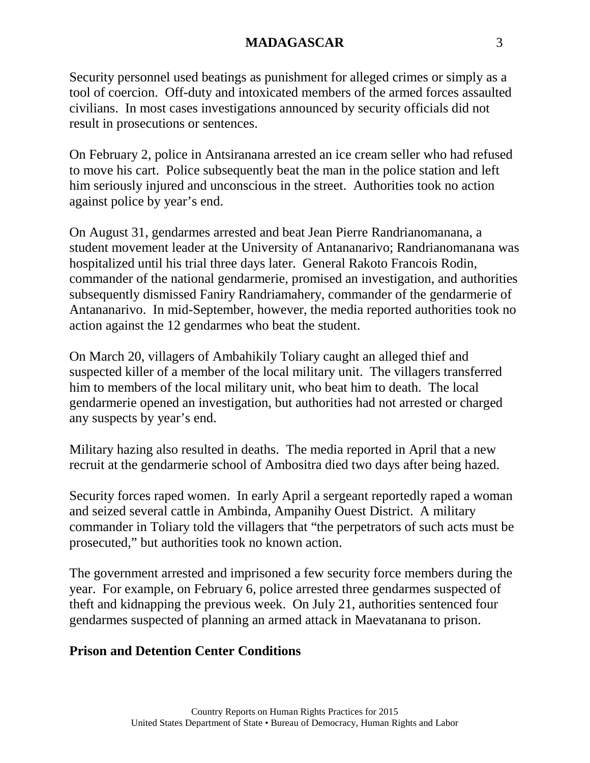Security personnel used beatings as punishment for alleged crimes or simply as a tool of coercion. Off-duty and intoxicated members of the armed forces assaulted civilians. In most cases investigations announced by security officials did not result in prosecutions or sentences.

On February 2, police in Antsiranana arrested an ice cream seller who had refused to move his cart. Police subsequently beat the man in the police station and left him seriously injured and unconscious in the street. Authorities took no action against police by year's end.

On August 31, gendarmes arrested and beat Jean Pierre Randrianomanana, a student movement leader at the University of Antananarivo; Randrianomanana was hospitalized until his trial three days later. General Rakoto Francois Rodin, commander of the national gendarmerie, promised an investigation, and authorities subsequently dismissed Faniry Randriamahery, commander of the gendarmerie of Antananarivo. In mid-September, however, the media reported authorities took no action against the 12 gendarmes who beat the student.

On March 20, villagers of Ambahikily Toliary caught an alleged thief and suspected killer of a member of the local military unit. The villagers transferred him to members of the local military unit, who beat him to death. The local gendarmerie opened an investigation, but authorities had not arrested or charged any suspects by year's end.

Military hazing also resulted in deaths. The media reported in April that a new recruit at the gendarmerie school of Ambositra died two days after being hazed.

Security forces raped women. In early April a sergeant reportedly raped a woman and seized several cattle in Ambinda, Ampanihy Ouest District. A military commander in Toliary told the villagers that "the perpetrators of such acts must be prosecuted," but authorities took no known action.

The government arrested and imprisoned a few security force members during the year. For example, on February 6, police arrested three gendarmes suspected of theft and kidnapping the previous week. On July 21, authorities sentenced four gendarmes suspected of planning an armed attack in Maevatanana to prison.

## **Prison and Detention Center Conditions**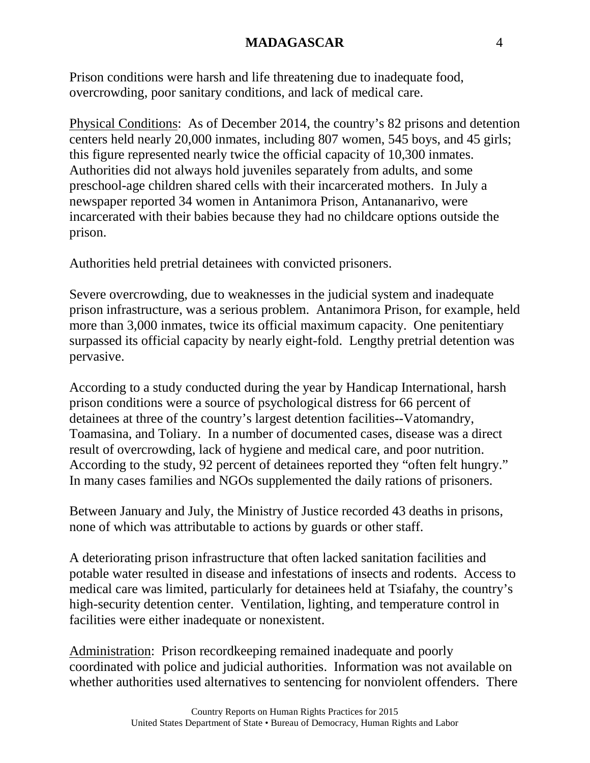Prison conditions were harsh and life threatening due to inadequate food, overcrowding, poor sanitary conditions, and lack of medical care.

Physical Conditions: As of December 2014, the country's 82 prisons and detention centers held nearly 20,000 inmates, including 807 women, 545 boys, and 45 girls; this figure represented nearly twice the official capacity of 10,300 inmates. Authorities did not always hold juveniles separately from adults, and some preschool-age children shared cells with their incarcerated mothers. In July a newspaper reported 34 women in Antanimora Prison, Antananarivo, were incarcerated with their babies because they had no childcare options outside the prison.

Authorities held pretrial detainees with convicted prisoners.

Severe overcrowding, due to weaknesses in the judicial system and inadequate prison infrastructure, was a serious problem. Antanimora Prison, for example, held more than 3,000 inmates, twice its official maximum capacity. One penitentiary surpassed its official capacity by nearly eight-fold. Lengthy pretrial detention was pervasive.

According to a study conducted during the year by Handicap International, harsh prison conditions were a source of psychological distress for 66 percent of detainees at three of the country's largest detention facilities--Vatomandry, Toamasina, and Toliary. In a number of documented cases, disease was a direct result of overcrowding, lack of hygiene and medical care, and poor nutrition. According to the study, 92 percent of detainees reported they "often felt hungry." In many cases families and NGOs supplemented the daily rations of prisoners.

Between January and July, the Ministry of Justice recorded 43 deaths in prisons, none of which was attributable to actions by guards or other staff.

A deteriorating prison infrastructure that often lacked sanitation facilities and potable water resulted in disease and infestations of insects and rodents. Access to medical care was limited, particularly for detainees held at Tsiafahy, the country's high-security detention center. Ventilation, lighting, and temperature control in facilities were either inadequate or nonexistent.

Administration: Prison recordkeeping remained inadequate and poorly coordinated with police and judicial authorities. Information was not available on whether authorities used alternatives to sentencing for nonviolent offenders. There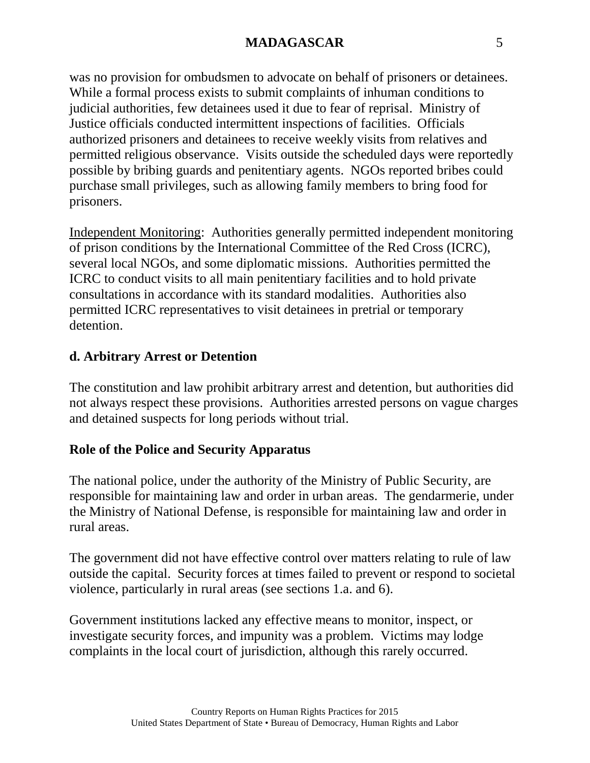was no provision for ombudsmen to advocate on behalf of prisoners or detainees. While a formal process exists to submit complaints of inhuman conditions to judicial authorities, few detainees used it due to fear of reprisal. Ministry of Justice officials conducted intermittent inspections of facilities. Officials authorized prisoners and detainees to receive weekly visits from relatives and permitted religious observance. Visits outside the scheduled days were reportedly possible by bribing guards and penitentiary agents. NGOs reported bribes could purchase small privileges, such as allowing family members to bring food for prisoners.

Independent Monitoring: Authorities generally permitted independent monitoring of prison conditions by the International Committee of the Red Cross (ICRC), several local NGOs, and some diplomatic missions. Authorities permitted the ICRC to conduct visits to all main penitentiary facilities and to hold private consultations in accordance with its standard modalities. Authorities also permitted ICRC representatives to visit detainees in pretrial or temporary detention.

## **d. Arbitrary Arrest or Detention**

The constitution and law prohibit arbitrary arrest and detention, but authorities did not always respect these provisions. Authorities arrested persons on vague charges and detained suspects for long periods without trial.

# **Role of the Police and Security Apparatus**

The national police, under the authority of the Ministry of Public Security, are responsible for maintaining law and order in urban areas. The gendarmerie, under the Ministry of National Defense, is responsible for maintaining law and order in rural areas.

The government did not have effective control over matters relating to rule of law outside the capital. Security forces at times failed to prevent or respond to societal violence, particularly in rural areas (see sections 1.a. and 6).

Government institutions lacked any effective means to monitor, inspect, or investigate security forces, and impunity was a problem. Victims may lodge complaints in the local court of jurisdiction, although this rarely occurred.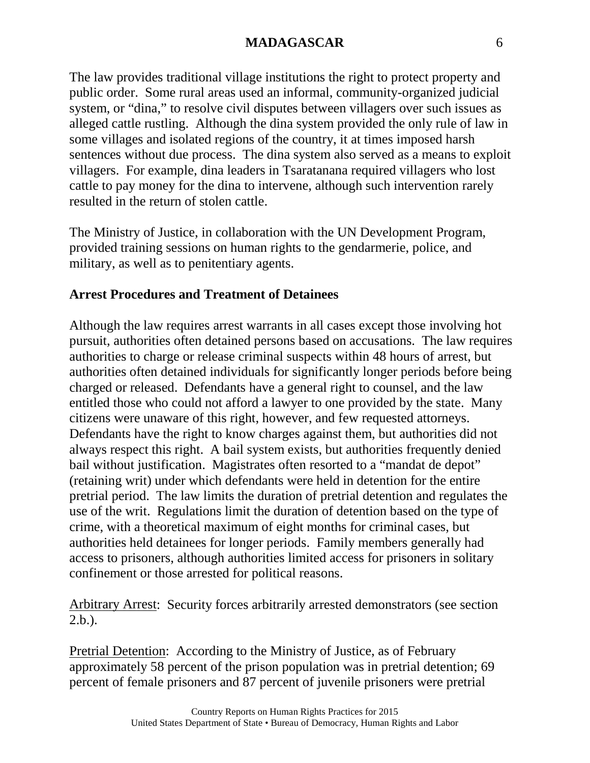The law provides traditional village institutions the right to protect property and public order. Some rural areas used an informal, community-organized judicial system, or "dina," to resolve civil disputes between villagers over such issues as alleged cattle rustling. Although the dina system provided the only rule of law in some villages and isolated regions of the country, it at times imposed harsh sentences without due process. The dina system also served as a means to exploit villagers. For example, dina leaders in Tsaratanana required villagers who lost cattle to pay money for the dina to intervene, although such intervention rarely resulted in the return of stolen cattle.

The Ministry of Justice, in collaboration with the UN Development Program, provided training sessions on human rights to the gendarmerie, police, and military, as well as to penitentiary agents.

## **Arrest Procedures and Treatment of Detainees**

Although the law requires arrest warrants in all cases except those involving hot pursuit, authorities often detained persons based on accusations. The law requires authorities to charge or release criminal suspects within 48 hours of arrest, but authorities often detained individuals for significantly longer periods before being charged or released. Defendants have a general right to counsel, and the law entitled those who could not afford a lawyer to one provided by the state. Many citizens were unaware of this right, however, and few requested attorneys. Defendants have the right to know charges against them, but authorities did not always respect this right. A bail system exists, but authorities frequently denied bail without justification. Magistrates often resorted to a "mandat de depot" (retaining writ) under which defendants were held in detention for the entire pretrial period. The law limits the duration of pretrial detention and regulates the use of the writ. Regulations limit the duration of detention based on the type of crime, with a theoretical maximum of eight months for criminal cases, but authorities held detainees for longer periods. Family members generally had access to prisoners, although authorities limited access for prisoners in solitary confinement or those arrested for political reasons.

Arbitrary Arrest: Security forces arbitrarily arrested demonstrators (see section 2.b.).

Pretrial Detention: According to the Ministry of Justice, as of February approximately 58 percent of the prison population was in pretrial detention; 69 percent of female prisoners and 87 percent of juvenile prisoners were pretrial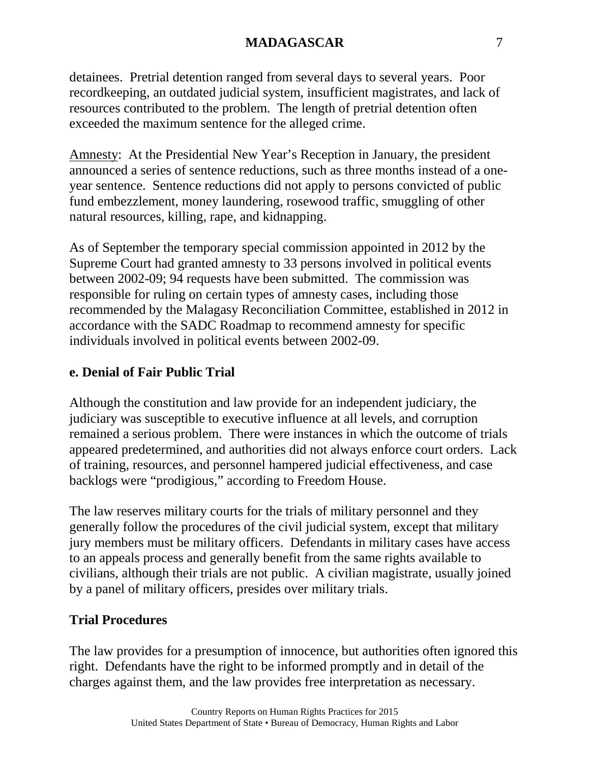detainees. Pretrial detention ranged from several days to several years. Poor recordkeeping, an outdated judicial system, insufficient magistrates, and lack of resources contributed to the problem. The length of pretrial detention often exceeded the maximum sentence for the alleged crime.

Amnesty: At the Presidential New Year's Reception in January, the president announced a series of sentence reductions, such as three months instead of a oneyear sentence. Sentence reductions did not apply to persons convicted of public fund embezzlement, money laundering, rosewood traffic, smuggling of other natural resources, killing, rape, and kidnapping.

As of September the temporary special commission appointed in 2012 by the Supreme Court had granted amnesty to 33 persons involved in political events between 2002-09; 94 requests have been submitted. The commission was responsible for ruling on certain types of amnesty cases, including those recommended by the Malagasy Reconciliation Committee, established in 2012 in accordance with the SADC Roadmap to recommend amnesty for specific individuals involved in political events between 2002-09.

### **e. Denial of Fair Public Trial**

Although the constitution and law provide for an independent judiciary, the judiciary was susceptible to executive influence at all levels, and corruption remained a serious problem. There were instances in which the outcome of trials appeared predetermined, and authorities did not always enforce court orders. Lack of training, resources, and personnel hampered judicial effectiveness, and case backlogs were "prodigious," according to Freedom House.

The law reserves military courts for the trials of military personnel and they generally follow the procedures of the civil judicial system, except that military jury members must be military officers. Defendants in military cases have access to an appeals process and generally benefit from the same rights available to civilians, although their trials are not public. A civilian magistrate, usually joined by a panel of military officers, presides over military trials.

#### **Trial Procedures**

The law provides for a presumption of innocence, but authorities often ignored this right. Defendants have the right to be informed promptly and in detail of the charges against them, and the law provides free interpretation as necessary.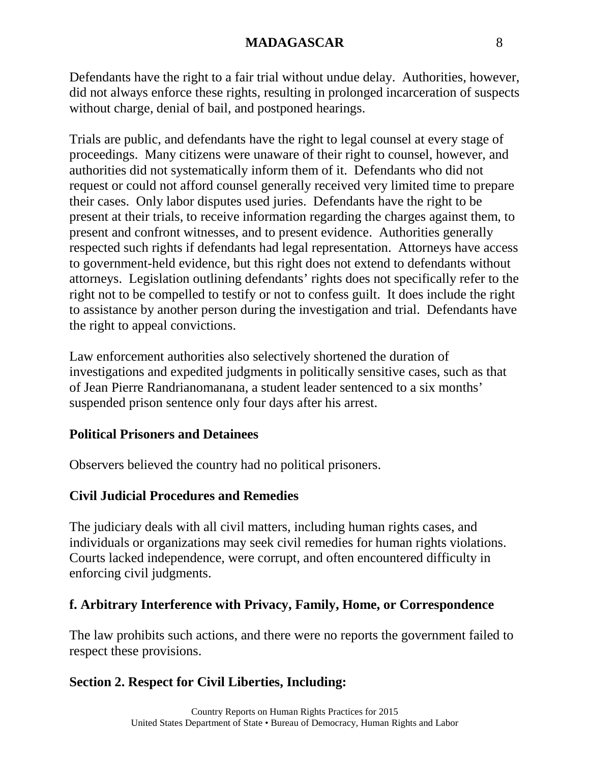Defendants have the right to a fair trial without undue delay. Authorities, however, did not always enforce these rights, resulting in prolonged incarceration of suspects without charge, denial of bail, and postponed hearings.

Trials are public, and defendants have the right to legal counsel at every stage of proceedings. Many citizens were unaware of their right to counsel, however, and authorities did not systematically inform them of it. Defendants who did not request or could not afford counsel generally received very limited time to prepare their cases. Only labor disputes used juries. Defendants have the right to be present at their trials, to receive information regarding the charges against them, to present and confront witnesses, and to present evidence. Authorities generally respected such rights if defendants had legal representation. Attorneys have access to government-held evidence, but this right does not extend to defendants without attorneys. Legislation outlining defendants' rights does not specifically refer to the right not to be compelled to testify or not to confess guilt. It does include the right to assistance by another person during the investigation and trial. Defendants have the right to appeal convictions.

Law enforcement authorities also selectively shortened the duration of investigations and expedited judgments in politically sensitive cases, such as that of Jean Pierre Randrianomanana, a student leader sentenced to a six months' suspended prison sentence only four days after his arrest.

## **Political Prisoners and Detainees**

Observers believed the country had no political prisoners.

## **Civil Judicial Procedures and Remedies**

The judiciary deals with all civil matters, including human rights cases, and individuals or organizations may seek civil remedies for human rights violations. Courts lacked independence, were corrupt, and often encountered difficulty in enforcing civil judgments.

## **f. Arbitrary Interference with Privacy, Family, Home, or Correspondence**

The law prohibits such actions, and there were no reports the government failed to respect these provisions.

# **Section 2. Respect for Civil Liberties, Including:**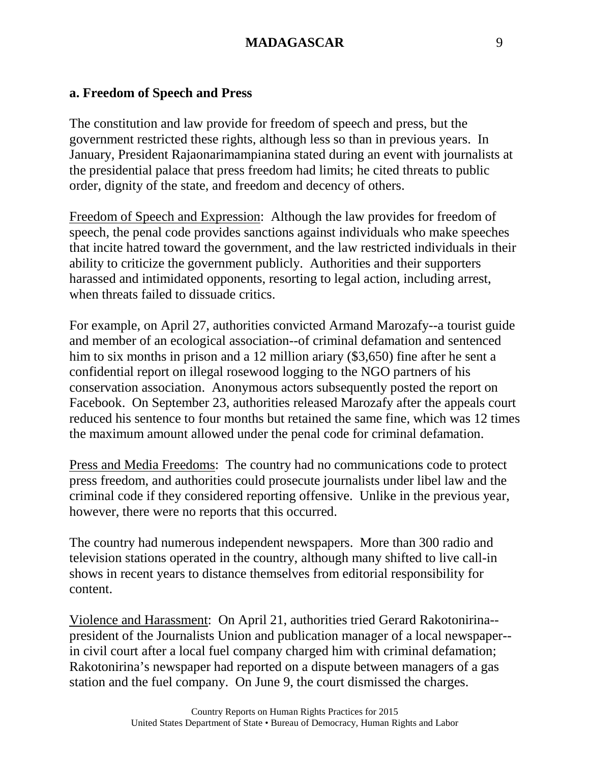### **a. Freedom of Speech and Press**

The constitution and law provide for freedom of speech and press, but the government restricted these rights, although less so than in previous years. In January, President Rajaonarimampianina stated during an event with journalists at the presidential palace that press freedom had limits; he cited threats to public order, dignity of the state, and freedom and decency of others.

Freedom of Speech and Expression: Although the law provides for freedom of speech, the penal code provides sanctions against individuals who make speeches that incite hatred toward the government, and the law restricted individuals in their ability to criticize the government publicly. Authorities and their supporters harassed and intimidated opponents, resorting to legal action, including arrest, when threats failed to dissuade critics.

For example, on April 27, authorities convicted Armand Marozafy--a tourist guide and member of an ecological association--of criminal defamation and sentenced him to six months in prison and a 12 million ariary (\$3,650) fine after he sent a confidential report on illegal rosewood logging to the NGO partners of his conservation association. Anonymous actors subsequently posted the report on Facebook. On September 23, authorities released Marozafy after the appeals court reduced his sentence to four months but retained the same fine, which was 12 times the maximum amount allowed under the penal code for criminal defamation.

Press and Media Freedoms: The country had no communications code to protect press freedom, and authorities could prosecute journalists under libel law and the criminal code if they considered reporting offensive. Unlike in the previous year, however, there were no reports that this occurred.

The country had numerous independent newspapers. More than 300 radio and television stations operated in the country, although many shifted to live call-in shows in recent years to distance themselves from editorial responsibility for content.

Violence and Harassment: On April 21, authorities tried Gerard Rakotonirina- president of the Journalists Union and publication manager of a local newspaper- in civil court after a local fuel company charged him with criminal defamation; Rakotonirina's newspaper had reported on a dispute between managers of a gas station and the fuel company. On June 9, the court dismissed the charges.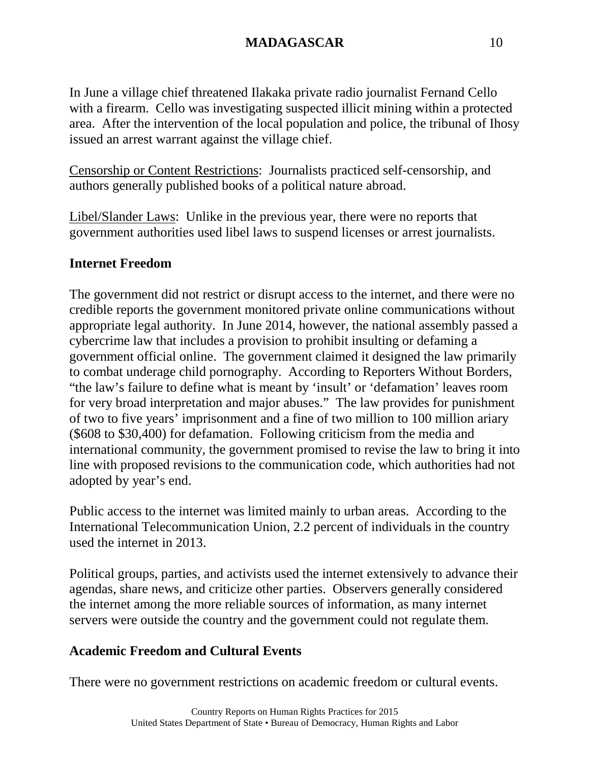In June a village chief threatened Ilakaka private radio journalist Fernand Cello with a firearm. Cello was investigating suspected illicit mining within a protected area. After the intervention of the local population and police, the tribunal of Ihosy issued an arrest warrant against the village chief.

Censorship or Content Restrictions: Journalists practiced self-censorship, and authors generally published books of a political nature abroad.

Libel/Slander Laws: Unlike in the previous year, there were no reports that government authorities used libel laws to suspend licenses or arrest journalists.

## **Internet Freedom**

The government did not restrict or disrupt access to the internet, and there were no credible reports the government monitored private online communications without appropriate legal authority. In June 2014, however, the national assembly passed a cybercrime law that includes a provision to prohibit insulting or defaming a government official online. The government claimed it designed the law primarily to combat underage child pornography. According to Reporters Without Borders, "the law's failure to define what is meant by 'insult' or 'defamation' leaves room for very broad interpretation and major abuses." The law provides for punishment of two to five years' imprisonment and a fine of two million to 100 million ariary (\$608 to \$30,400) for defamation. Following criticism from the media and international community, the government promised to revise the law to bring it into line with proposed revisions to the communication code, which authorities had not adopted by year's end.

Public access to the internet was limited mainly to urban areas. According to the International Telecommunication Union, 2.2 percent of individuals in the country used the internet in 2013.

Political groups, parties, and activists used the internet extensively to advance their agendas, share news, and criticize other parties. Observers generally considered the internet among the more reliable sources of information, as many internet servers were outside the country and the government could not regulate them.

# **Academic Freedom and Cultural Events**

There were no government restrictions on academic freedom or cultural events.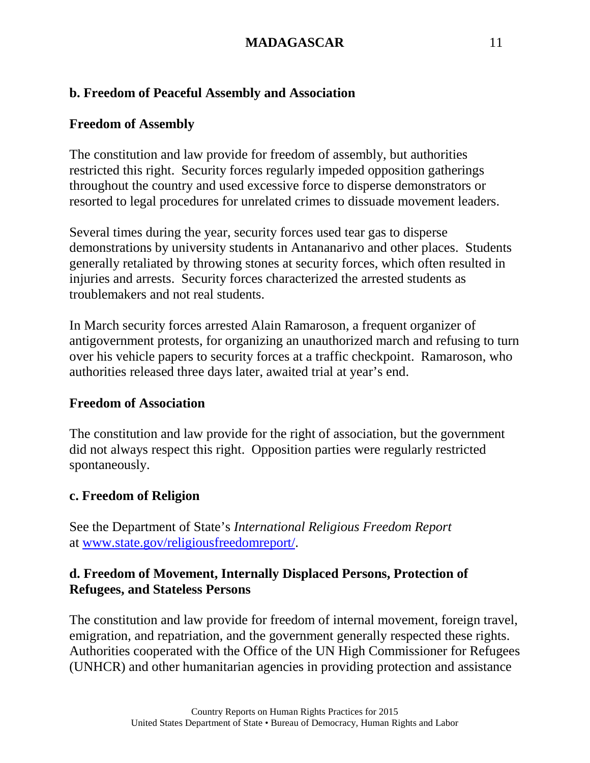## **b. Freedom of Peaceful Assembly and Association**

## **Freedom of Assembly**

The constitution and law provide for freedom of assembly, but authorities restricted this right. Security forces regularly impeded opposition gatherings throughout the country and used excessive force to disperse demonstrators or resorted to legal procedures for unrelated crimes to dissuade movement leaders.

Several times during the year, security forces used tear gas to disperse demonstrations by university students in Antananarivo and other places. Students generally retaliated by throwing stones at security forces, which often resulted in injuries and arrests. Security forces characterized the arrested students as troublemakers and not real students.

In March security forces arrested Alain Ramaroson, a frequent organizer of antigovernment protests, for organizing an unauthorized march and refusing to turn over his vehicle papers to security forces at a traffic checkpoint. Ramaroson, who authorities released three days later, awaited trial at year's end.

## **Freedom of Association**

The constitution and law provide for the right of association, but the government did not always respect this right. Opposition parties were regularly restricted spontaneously.

## **c. Freedom of Religion**

See the Department of State's *International Religious Freedom Report* at [www.state.gov/religiousfreedomreport/.](http://www.state.gov/religiousfreedomreport/)

## **d. Freedom of Movement, Internally Displaced Persons, Protection of Refugees, and Stateless Persons**

The constitution and law provide for freedom of internal movement, foreign travel, emigration, and repatriation, and the government generally respected these rights. Authorities cooperated with the Office of the UN High Commissioner for Refugees (UNHCR) and other humanitarian agencies in providing protection and assistance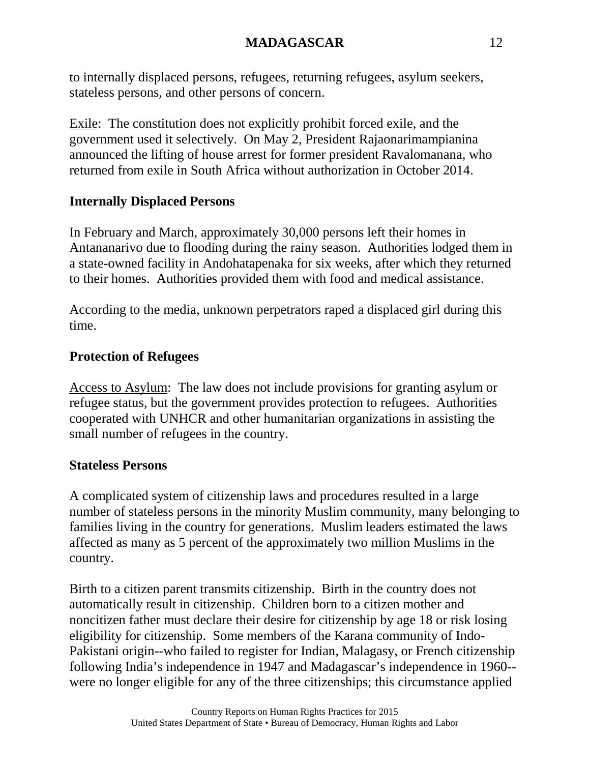to internally displaced persons, refugees, returning refugees, asylum seekers, stateless persons, and other persons of concern.

Exile: The constitution does not explicitly prohibit forced exile, and the government used it selectively. On May 2, President Rajaonarimampianina announced the lifting of house arrest for former president Ravalomanana, who returned from exile in South Africa without authorization in October 2014.

## **Internally Displaced Persons**

In February and March, approximately 30,000 persons left their homes in Antananarivo due to flooding during the rainy season. Authorities lodged them in a state-owned facility in Andohatapenaka for six weeks, after which they returned to their homes. Authorities provided them with food and medical assistance.

According to the media, unknown perpetrators raped a displaced girl during this time.

## **Protection of Refugees**

Access to Asylum: The law does not include provisions for granting asylum or refugee status, but the government provides protection to refugees. Authorities cooperated with UNHCR and other humanitarian organizations in assisting the small number of refugees in the country.

## **Stateless Persons**

A complicated system of citizenship laws and procedures resulted in a large number of stateless persons in the minority Muslim community, many belonging to families living in the country for generations. Muslim leaders estimated the laws affected as many as 5 percent of the approximately two million Muslims in the country.

Birth to a citizen parent transmits citizenship. Birth in the country does not automatically result in citizenship. Children born to a citizen mother and noncitizen father must declare their desire for citizenship by age 18 or risk losing eligibility for citizenship. Some members of the Karana community of Indo-Pakistani origin--who failed to register for Indian, Malagasy, or French citizenship following India's independence in 1947 and Madagascar's independence in 1960- were no longer eligible for any of the three citizenships; this circumstance applied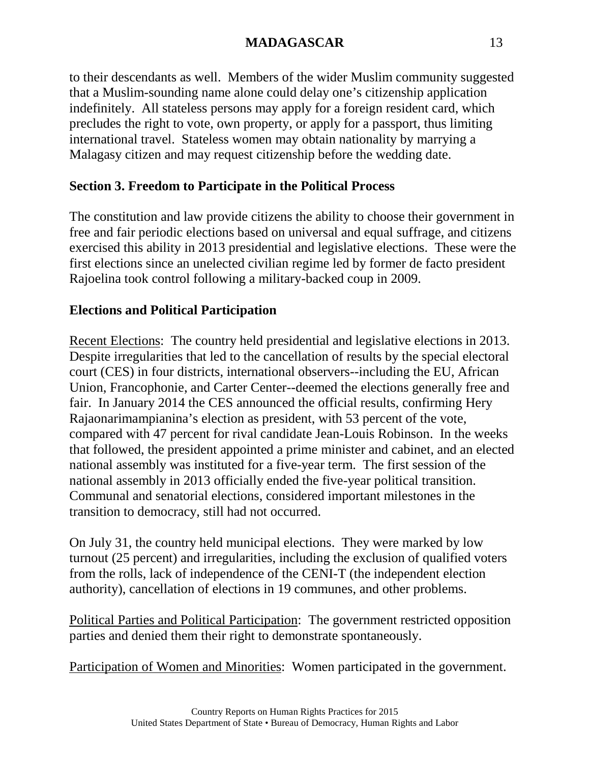to their descendants as well. Members of the wider Muslim community suggested that a Muslim-sounding name alone could delay one's citizenship application indefinitely. All stateless persons may apply for a foreign resident card, which precludes the right to vote, own property, or apply for a passport, thus limiting international travel. Stateless women may obtain nationality by marrying a Malagasy citizen and may request citizenship before the wedding date.

# **Section 3. Freedom to Participate in the Political Process**

The constitution and law provide citizens the ability to choose their government in free and fair periodic elections based on universal and equal suffrage, and citizens exercised this ability in 2013 presidential and legislative elections. These were the first elections since an unelected civilian regime led by former de facto president Rajoelina took control following a military-backed coup in 2009.

# **Elections and Political Participation**

Recent Elections: The country held presidential and legislative elections in 2013. Despite irregularities that led to the cancellation of results by the special electoral court (CES) in four districts, international observers--including the EU, African Union, Francophonie, and Carter Center--deemed the elections generally free and fair. In January 2014 the CES announced the official results, confirming Hery Rajaonarimampianina's election as president, with 53 percent of the vote, compared with 47 percent for rival candidate Jean-Louis Robinson. In the weeks that followed, the president appointed a prime minister and cabinet, and an elected national assembly was instituted for a five-year term. The first session of the national assembly in 2013 officially ended the five-year political transition. Communal and senatorial elections, considered important milestones in the transition to democracy, still had not occurred.

On July 31, the country held municipal elections. They were marked by low turnout (25 percent) and irregularities, including the exclusion of qualified voters from the rolls, lack of independence of the CENI-T (the independent election authority), cancellation of elections in 19 communes, and other problems.

Political Parties and Political Participation: The government restricted opposition parties and denied them their right to demonstrate spontaneously.

Participation of Women and Minorities: Women participated in the government.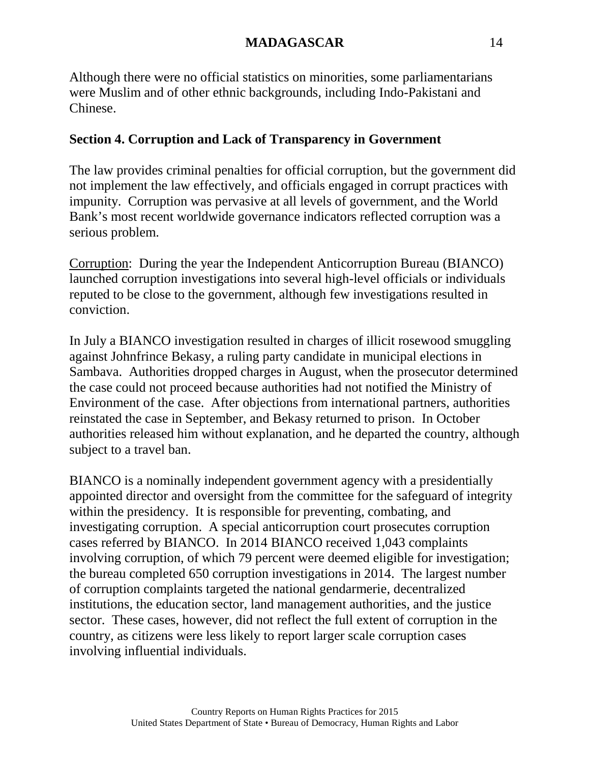Although there were no official statistics on minorities, some parliamentarians were Muslim and of other ethnic backgrounds, including Indo-Pakistani and Chinese.

## **Section 4. Corruption and Lack of Transparency in Government**

The law provides criminal penalties for official corruption, but the government did not implement the law effectively, and officials engaged in corrupt practices with impunity. Corruption was pervasive at all levels of government, and the World Bank's most recent worldwide governance indicators reflected corruption was a serious problem.

Corruption: During the year the Independent Anticorruption Bureau (BIANCO) launched corruption investigations into several high-level officials or individuals reputed to be close to the government, although few investigations resulted in conviction.

In July a BIANCO investigation resulted in charges of illicit rosewood smuggling against Johnfrince Bekasy, a ruling party candidate in municipal elections in Sambava. Authorities dropped charges in August, when the prosecutor determined the case could not proceed because authorities had not notified the Ministry of Environment of the case. After objections from international partners, authorities reinstated the case in September, and Bekasy returned to prison. In October authorities released him without explanation, and he departed the country, although subject to a travel ban.

BIANCO is a nominally independent government agency with a presidentially appointed director and oversight from the committee for the safeguard of integrity within the presidency. It is responsible for preventing, combating, and investigating corruption. A special anticorruption court prosecutes corruption cases referred by BIANCO. In 2014 BIANCO received 1,043 complaints involving corruption, of which 79 percent were deemed eligible for investigation; the bureau completed 650 corruption investigations in 2014. The largest number of corruption complaints targeted the national gendarmerie, decentralized institutions, the education sector, land management authorities, and the justice sector. These cases, however, did not reflect the full extent of corruption in the country, as citizens were less likely to report larger scale corruption cases involving influential individuals.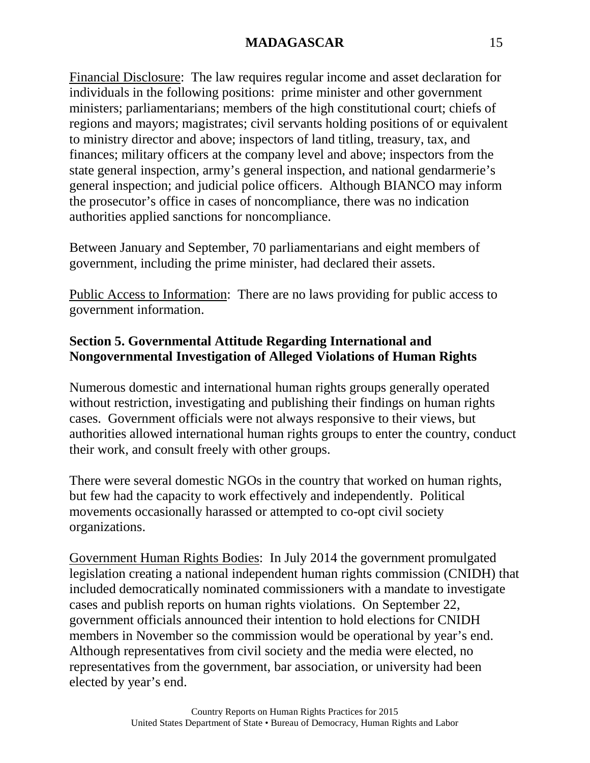Financial Disclosure: The law requires regular income and asset declaration for individuals in the following positions: prime minister and other government ministers; parliamentarians; members of the high constitutional court; chiefs of regions and mayors; magistrates; civil servants holding positions of or equivalent to ministry director and above; inspectors of land titling, treasury, tax, and finances; military officers at the company level and above; inspectors from the state general inspection, army's general inspection, and national gendarmerie's general inspection; and judicial police officers. Although BIANCO may inform the prosecutor's office in cases of noncompliance, there was no indication authorities applied sanctions for noncompliance.

Between January and September, 70 parliamentarians and eight members of government, including the prime minister, had declared their assets.

Public Access to Information: There are no laws providing for public access to government information.

## **Section 5. Governmental Attitude Regarding International and Nongovernmental Investigation of Alleged Violations of Human Rights**

Numerous domestic and international human rights groups generally operated without restriction, investigating and publishing their findings on human rights cases. Government officials were not always responsive to their views, but authorities allowed international human rights groups to enter the country, conduct their work, and consult freely with other groups.

There were several domestic NGOs in the country that worked on human rights, but few had the capacity to work effectively and independently. Political movements occasionally harassed or attempted to co-opt civil society organizations.

Government Human Rights Bodies: In July 2014 the government promulgated legislation creating a national independent human rights commission (CNIDH) that included democratically nominated commissioners with a mandate to investigate cases and publish reports on human rights violations. On September 22, government officials announced their intention to hold elections for CNIDH members in November so the commission would be operational by year's end. Although representatives from civil society and the media were elected, no representatives from the government, bar association, or university had been elected by year's end.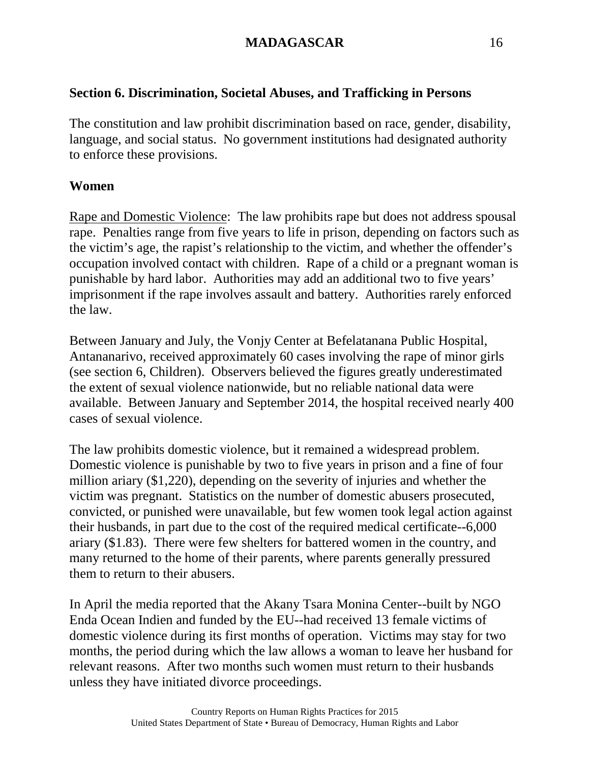### **Section 6. Discrimination, Societal Abuses, and Trafficking in Persons**

The constitution and law prohibit discrimination based on race, gender, disability, language, and social status. No government institutions had designated authority to enforce these provisions.

#### **Women**

Rape and Domestic Violence: The law prohibits rape but does not address spousal rape. Penalties range from five years to life in prison, depending on factors such as the victim's age, the rapist's relationship to the victim, and whether the offender's occupation involved contact with children. Rape of a child or a pregnant woman is punishable by hard labor. Authorities may add an additional two to five years' imprisonment if the rape involves assault and battery. Authorities rarely enforced the law.

Between January and July, the Vonjy Center at Befelatanana Public Hospital, Antananarivo, received approximately 60 cases involving the rape of minor girls (see section 6, Children). Observers believed the figures greatly underestimated the extent of sexual violence nationwide, but no reliable national data were available. Between January and September 2014, the hospital received nearly 400 cases of sexual violence.

The law prohibits domestic violence, but it remained a widespread problem. Domestic violence is punishable by two to five years in prison and a fine of four million ariary (\$1,220), depending on the severity of injuries and whether the victim was pregnant. Statistics on the number of domestic abusers prosecuted, convicted, or punished were unavailable, but few women took legal action against their husbands, in part due to the cost of the required medical certificate--6,000 ariary (\$1.83). There were few shelters for battered women in the country, and many returned to the home of their parents, where parents generally pressured them to return to their abusers.

In April the media reported that the Akany Tsara Monina Center--built by NGO Enda Ocean Indien and funded by the EU--had received 13 female victims of domestic violence during its first months of operation. Victims may stay for two months, the period during which the law allows a woman to leave her husband for relevant reasons. After two months such women must return to their husbands unless they have initiated divorce proceedings.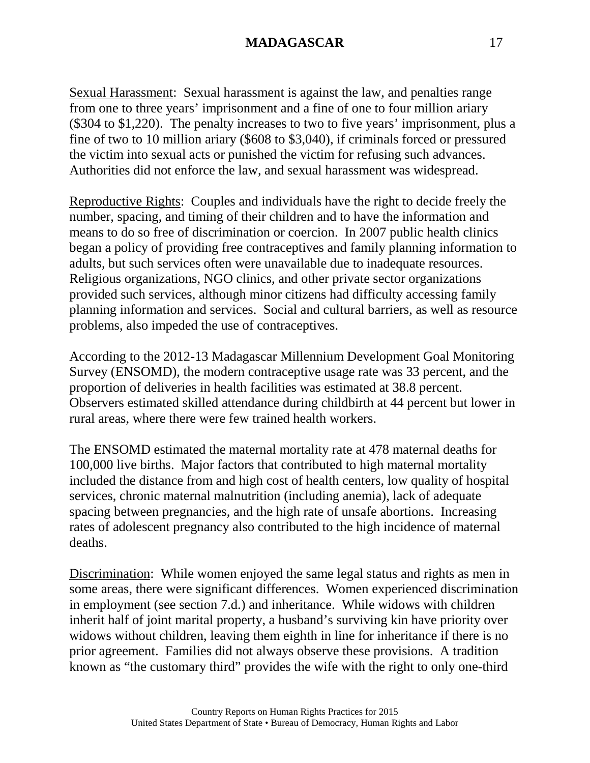Sexual Harassment: Sexual harassment is against the law, and penalties range from one to three years' imprisonment and a fine of one to four million ariary (\$304 to \$1,220). The penalty increases to two to five years' imprisonment, plus a fine of two to 10 million ariary (\$608 to \$3,040), if criminals forced or pressured the victim into sexual acts or punished the victim for refusing such advances. Authorities did not enforce the law, and sexual harassment was widespread.

Reproductive Rights: Couples and individuals have the right to decide freely the number, spacing, and timing of their children and to have the information and means to do so free of discrimination or coercion. In 2007 public health clinics began a policy of providing free contraceptives and family planning information to adults, but such services often were unavailable due to inadequate resources. Religious organizations, NGO clinics, and other private sector organizations provided such services, although minor citizens had difficulty accessing family planning information and services. Social and cultural barriers, as well as resource problems, also impeded the use of contraceptives.

According to the 2012-13 Madagascar Millennium Development Goal Monitoring Survey (ENSOMD), the modern contraceptive usage rate was 33 percent, and the proportion of deliveries in health facilities was estimated at 38.8 percent. Observers estimated skilled attendance during childbirth at 44 percent but lower in rural areas, where there were few trained health workers.

The ENSOMD estimated the maternal mortality rate at 478 maternal deaths for 100,000 live births. Major factors that contributed to high maternal mortality included the distance from and high cost of health centers, low quality of hospital services, chronic maternal malnutrition (including anemia), lack of adequate spacing between pregnancies, and the high rate of unsafe abortions. Increasing rates of adolescent pregnancy also contributed to the high incidence of maternal deaths.

Discrimination: While women enjoyed the same legal status and rights as men in some areas, there were significant differences. Women experienced discrimination in employment (see section 7.d.) and inheritance. While widows with children inherit half of joint marital property, a husband's surviving kin have priority over widows without children, leaving them eighth in line for inheritance if there is no prior agreement. Families did not always observe these provisions. A tradition known as "the customary third" provides the wife with the right to only one-third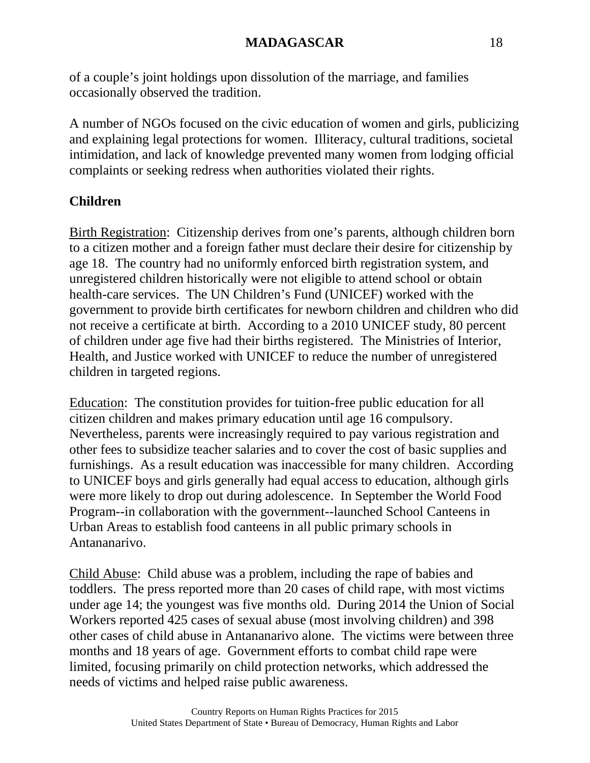of a couple's joint holdings upon dissolution of the marriage, and families occasionally observed the tradition.

A number of NGOs focused on the civic education of women and girls, publicizing and explaining legal protections for women. Illiteracy, cultural traditions, societal intimidation, and lack of knowledge prevented many women from lodging official complaints or seeking redress when authorities violated their rights.

## **Children**

Birth Registration: Citizenship derives from one's parents, although children born to a citizen mother and a foreign father must declare their desire for citizenship by age 18. The country had no uniformly enforced birth registration system, and unregistered children historically were not eligible to attend school or obtain health-care services. The UN Children's Fund (UNICEF) worked with the government to provide birth certificates for newborn children and children who did not receive a certificate at birth. According to a 2010 UNICEF study, 80 percent of children under age five had their births registered. The Ministries of Interior, Health, and Justice worked with UNICEF to reduce the number of unregistered children in targeted regions.

Education: The constitution provides for tuition-free public education for all citizen children and makes primary education until age 16 compulsory. Nevertheless, parents were increasingly required to pay various registration and other fees to subsidize teacher salaries and to cover the cost of basic supplies and furnishings. As a result education was inaccessible for many children. According to UNICEF boys and girls generally had equal access to education, although girls were more likely to drop out during adolescence. In September the World Food Program--in collaboration with the government--launched School Canteens in Urban Areas to establish food canteens in all public primary schools in Antananarivo.

Child Abuse: Child abuse was a problem, including the rape of babies and toddlers. The press reported more than 20 cases of child rape, with most victims under age 14; the youngest was five months old. During 2014 the Union of Social Workers reported 425 cases of sexual abuse (most involving children) and 398 other cases of child abuse in Antananarivo alone. The victims were between three months and 18 years of age. Government efforts to combat child rape were limited, focusing primarily on child protection networks, which addressed the needs of victims and helped raise public awareness.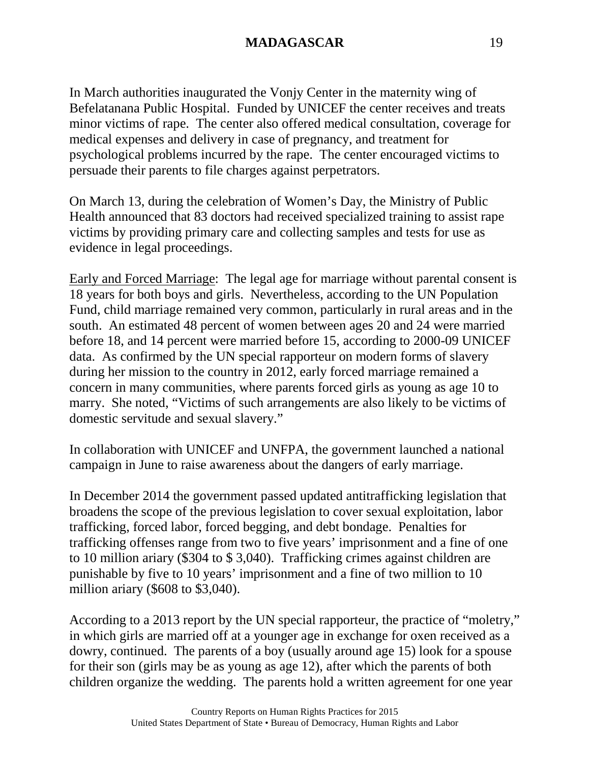In March authorities inaugurated the Vonjy Center in the maternity wing of Befelatanana Public Hospital. Funded by UNICEF the center receives and treats minor victims of rape. The center also offered medical consultation, coverage for medical expenses and delivery in case of pregnancy, and treatment for psychological problems incurred by the rape. The center encouraged victims to persuade their parents to file charges against perpetrators.

On March 13, during the celebration of Women's Day, the Ministry of Public Health announced that 83 doctors had received specialized training to assist rape victims by providing primary care and collecting samples and tests for use as evidence in legal proceedings.

Early and Forced Marriage: The legal age for marriage without parental consent is 18 years for both boys and girls. Nevertheless, according to the UN Population Fund, child marriage remained very common, particularly in rural areas and in the south. An estimated 48 percent of women between ages 20 and 24 were married before 18, and 14 percent were married before 15, according to 2000-09 UNICEF data. As confirmed by the UN special rapporteur on modern forms of slavery during her mission to the country in 2012, early forced marriage remained a concern in many communities, where parents forced girls as young as age 10 to marry. She noted, "Victims of such arrangements are also likely to be victims of domestic servitude and sexual slavery."

In collaboration with UNICEF and UNFPA, the government launched a national campaign in June to raise awareness about the dangers of early marriage.

In December 2014 the government passed updated antitrafficking legislation that broadens the scope of the previous legislation to cover sexual exploitation, labor trafficking, forced labor, forced begging, and debt bondage. Penalties for trafficking offenses range from two to five years' imprisonment and a fine of one to 10 million ariary (\$304 to \$ 3,040). Trafficking crimes against children are punishable by five to 10 years' imprisonment and a fine of two million to 10 million ariary (\$608 to \$3,040).

According to a 2013 report by the UN special rapporteur, the practice of "moletry," in which girls are married off at a younger age in exchange for oxen received as a dowry, continued. The parents of a boy (usually around age 15) look for a spouse for their son (girls may be as young as age 12), after which the parents of both children organize the wedding. The parents hold a written agreement for one year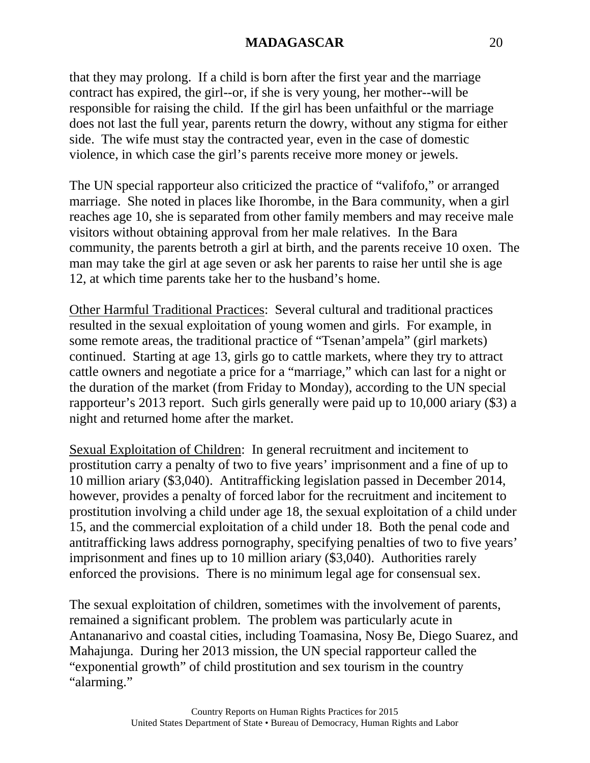that they may prolong. If a child is born after the first year and the marriage contract has expired, the girl--or, if she is very young, her mother--will be responsible for raising the child. If the girl has been unfaithful or the marriage does not last the full year, parents return the dowry, without any stigma for either side. The wife must stay the contracted year, even in the case of domestic violence, in which case the girl's parents receive more money or jewels.

The UN special rapporteur also criticized the practice of "valifofo," or arranged marriage. She noted in places like Ihorombe, in the Bara community, when a girl reaches age 10, she is separated from other family members and may receive male visitors without obtaining approval from her male relatives. In the Bara community, the parents betroth a girl at birth, and the parents receive 10 oxen. The man may take the girl at age seven or ask her parents to raise her until she is age 12, at which time parents take her to the husband's home.

Other Harmful Traditional Practices: Several cultural and traditional practices resulted in the sexual exploitation of young women and girls. For example, in some remote areas, the traditional practice of "Tsenan'ampela" (girl markets) continued. Starting at age 13, girls go to cattle markets, where they try to attract cattle owners and negotiate a price for a "marriage," which can last for a night or the duration of the market (from Friday to Monday), according to the UN special rapporteur's 2013 report. Such girls generally were paid up to 10,000 ariary (\$3) a night and returned home after the market.

Sexual Exploitation of Children: In general recruitment and incitement to prostitution carry a penalty of two to five years' imprisonment and a fine of up to 10 million ariary (\$3,040). Antitrafficking legislation passed in December 2014, however, provides a penalty of forced labor for the recruitment and incitement to prostitution involving a child under age 18, the sexual exploitation of a child under 15, and the commercial exploitation of a child under 18. Both the penal code and antitrafficking laws address pornography, specifying penalties of two to five years' imprisonment and fines up to 10 million ariary (\$3,040). Authorities rarely enforced the provisions. There is no minimum legal age for consensual sex.

The sexual exploitation of children, sometimes with the involvement of parents, remained a significant problem. The problem was particularly acute in Antananarivo and coastal cities, including Toamasina, Nosy Be, Diego Suarez, and Mahajunga. During her 2013 mission, the UN special rapporteur called the "exponential growth" of child prostitution and sex tourism in the country "alarming."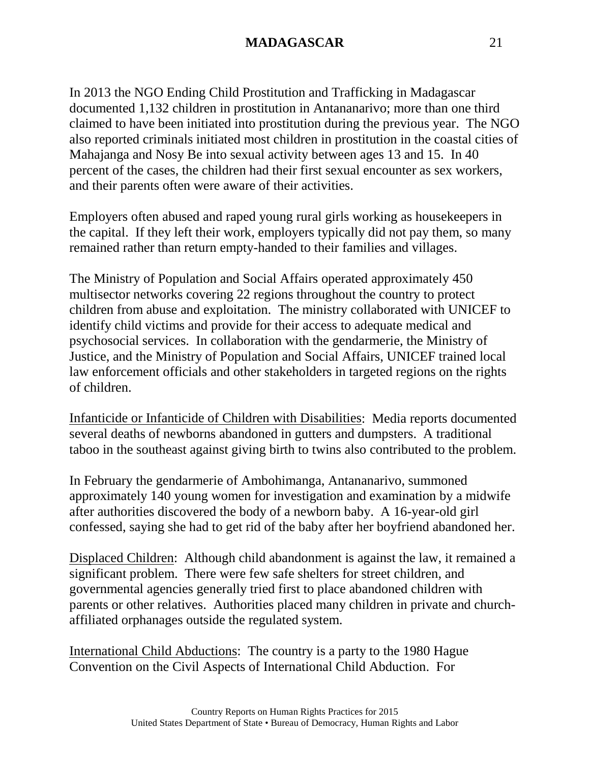In 2013 the NGO Ending Child Prostitution and Trafficking in Madagascar documented 1,132 children in prostitution in Antananarivo; more than one third claimed to have been initiated into prostitution during the previous year. The NGO also reported criminals initiated most children in prostitution in the coastal cities of Mahajanga and Nosy Be into sexual activity between ages 13 and 15. In 40 percent of the cases, the children had their first sexual encounter as sex workers, and their parents often were aware of their activities.

Employers often abused and raped young rural girls working as housekeepers in the capital. If they left their work, employers typically did not pay them, so many remained rather than return empty-handed to their families and villages.

The Ministry of Population and Social Affairs operated approximately 450 multisector networks covering 22 regions throughout the country to protect children from abuse and exploitation. The ministry collaborated with UNICEF to identify child victims and provide for their access to adequate medical and psychosocial services. In collaboration with the gendarmerie, the Ministry of Justice, and the Ministry of Population and Social Affairs, UNICEF trained local law enforcement officials and other stakeholders in targeted regions on the rights of children.

Infanticide or Infanticide of Children with Disabilities: Media reports documented several deaths of newborns abandoned in gutters and dumpsters. A traditional taboo in the southeast against giving birth to twins also contributed to the problem.

In February the gendarmerie of Ambohimanga, Antananarivo, summoned approximately 140 young women for investigation and examination by a midwife after authorities discovered the body of a newborn baby. A 16-year-old girl confessed, saying she had to get rid of the baby after her boyfriend abandoned her.

Displaced Children: Although child abandonment is against the law, it remained a significant problem. There were few safe shelters for street children, and governmental agencies generally tried first to place abandoned children with parents or other relatives. Authorities placed many children in private and churchaffiliated orphanages outside the regulated system.

International Child Abductions: The country is a party to the 1980 Hague Convention on the Civil Aspects of International Child Abduction. For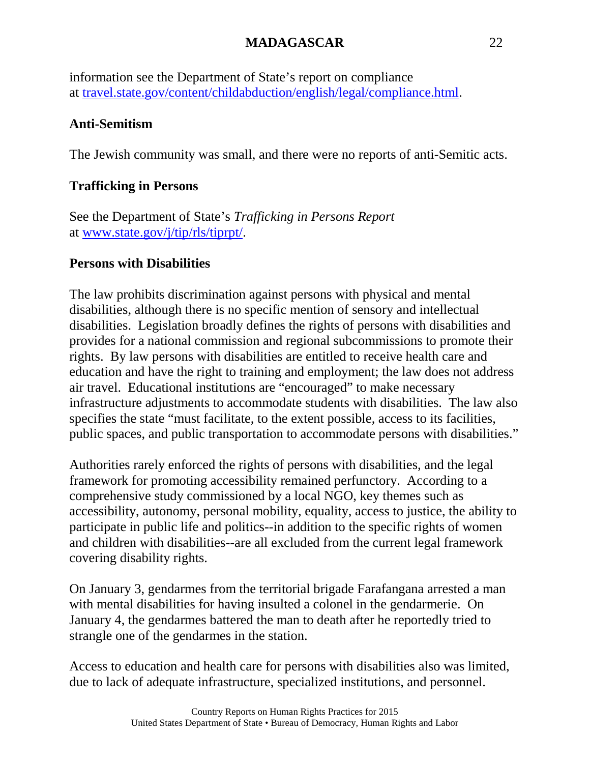information see the Department of State's report on compliance at [travel.state.gov/content/childabduction/english/legal/compliance.html.](http://travel.state.gov/content/childabduction/english/legal/compliance.html)

### **Anti-Semitism**

The Jewish community was small, and there were no reports of anti-Semitic acts.

## **Trafficking in Persons**

See the Department of State's *Trafficking in Persons Report* at [www.state.gov/j/tip/rls/tiprpt/.](http://www.state.gov/j/tip/rls/tiprpt/)

## **Persons with Disabilities**

The law prohibits discrimination against persons with physical and mental disabilities, although there is no specific mention of sensory and intellectual disabilities. Legislation broadly defines the rights of persons with disabilities and provides for a national commission and regional subcommissions to promote their rights. By law persons with disabilities are entitled to receive health care and education and have the right to training and employment; the law does not address air travel. Educational institutions are "encouraged" to make necessary infrastructure adjustments to accommodate students with disabilities. The law also specifies the state "must facilitate, to the extent possible, access to its facilities, public spaces, and public transportation to accommodate persons with disabilities."

Authorities rarely enforced the rights of persons with disabilities, and the legal framework for promoting accessibility remained perfunctory. According to a comprehensive study commissioned by a local NGO, key themes such as accessibility, autonomy, personal mobility, equality, access to justice, the ability to participate in public life and politics--in addition to the specific rights of women and children with disabilities--are all excluded from the current legal framework covering disability rights.

On January 3, gendarmes from the territorial brigade Farafangana arrested a man with mental disabilities for having insulted a colonel in the gendarmerie. On January 4, the gendarmes battered the man to death after he reportedly tried to strangle one of the gendarmes in the station.

Access to education and health care for persons with disabilities also was limited, due to lack of adequate infrastructure, specialized institutions, and personnel.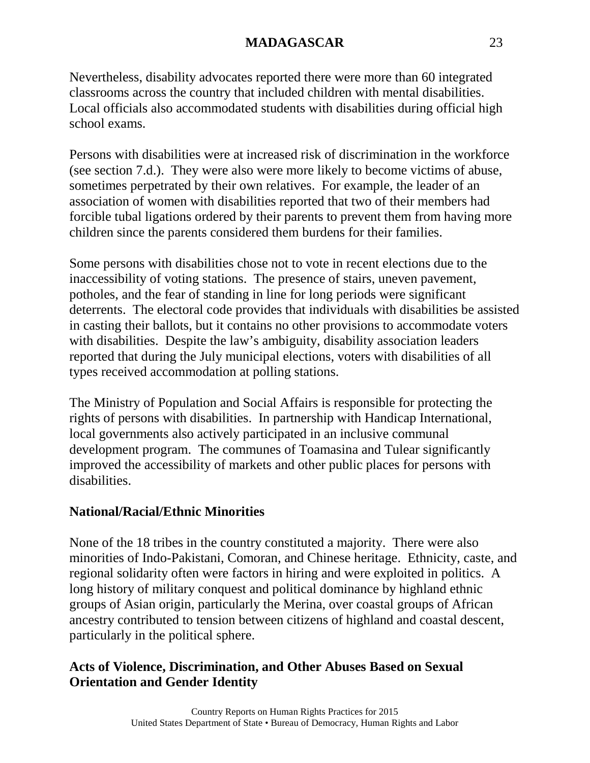Nevertheless, disability advocates reported there were more than 60 integrated classrooms across the country that included children with mental disabilities. Local officials also accommodated students with disabilities during official high school exams.

Persons with disabilities were at increased risk of discrimination in the workforce (see section 7.d.). They were also were more likely to become victims of abuse, sometimes perpetrated by their own relatives. For example, the leader of an association of women with disabilities reported that two of their members had forcible tubal ligations ordered by their parents to prevent them from having more children since the parents considered them burdens for their families.

Some persons with disabilities chose not to vote in recent elections due to the inaccessibility of voting stations. The presence of stairs, uneven pavement, potholes, and the fear of standing in line for long periods were significant deterrents. The electoral code provides that individuals with disabilities be assisted in casting their ballots, but it contains no other provisions to accommodate voters with disabilities. Despite the law's ambiguity, disability association leaders reported that during the July municipal elections, voters with disabilities of all types received accommodation at polling stations.

The Ministry of Population and Social Affairs is responsible for protecting the rights of persons with disabilities. In partnership with Handicap International, local governments also actively participated in an inclusive communal development program. The communes of Toamasina and Tulear significantly improved the accessibility of markets and other public places for persons with disabilities.

#### **National/Racial/Ethnic Minorities**

None of the 18 tribes in the country constituted a majority. There were also minorities of Indo-Pakistani, Comoran, and Chinese heritage. Ethnicity, caste, and regional solidarity often were factors in hiring and were exploited in politics. A long history of military conquest and political dominance by highland ethnic groups of Asian origin, particularly the Merina, over coastal groups of African ancestry contributed to tension between citizens of highland and coastal descent, particularly in the political sphere.

## **Acts of Violence, Discrimination, and Other Abuses Based on Sexual Orientation and Gender Identity**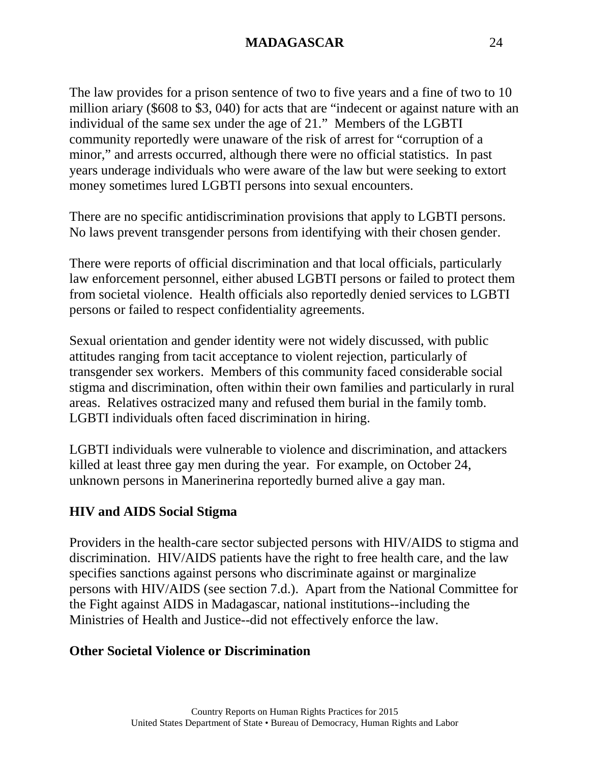The law provides for a prison sentence of two to five years and a fine of two to 10 million ariary (\$608 to \$3, 040) for acts that are "indecent or against nature with an individual of the same sex under the age of 21." Members of the LGBTI community reportedly were unaware of the risk of arrest for "corruption of a minor," and arrests occurred, although there were no official statistics. In past years underage individuals who were aware of the law but were seeking to extort money sometimes lured LGBTI persons into sexual encounters.

There are no specific antidiscrimination provisions that apply to LGBTI persons. No laws prevent transgender persons from identifying with their chosen gender.

There were reports of official discrimination and that local officials, particularly law enforcement personnel, either abused LGBTI persons or failed to protect them from societal violence. Health officials also reportedly denied services to LGBTI persons or failed to respect confidentiality agreements.

Sexual orientation and gender identity were not widely discussed, with public attitudes ranging from tacit acceptance to violent rejection, particularly of transgender sex workers. Members of this community faced considerable social stigma and discrimination, often within their own families and particularly in rural areas. Relatives ostracized many and refused them burial in the family tomb. LGBTI individuals often faced discrimination in hiring.

LGBTI individuals were vulnerable to violence and discrimination, and attackers killed at least three gay men during the year. For example, on October 24, unknown persons in Manerinerina reportedly burned alive a gay man.

#### **HIV and AIDS Social Stigma**

Providers in the health-care sector subjected persons with HIV/AIDS to stigma and discrimination. HIV/AIDS patients have the right to free health care, and the law specifies sanctions against persons who discriminate against or marginalize persons with HIV/AIDS (see section 7.d.). Apart from the National Committee for the Fight against AIDS in Madagascar, national institutions--including the Ministries of Health and Justice--did not effectively enforce the law.

#### **Other Societal Violence or Discrimination**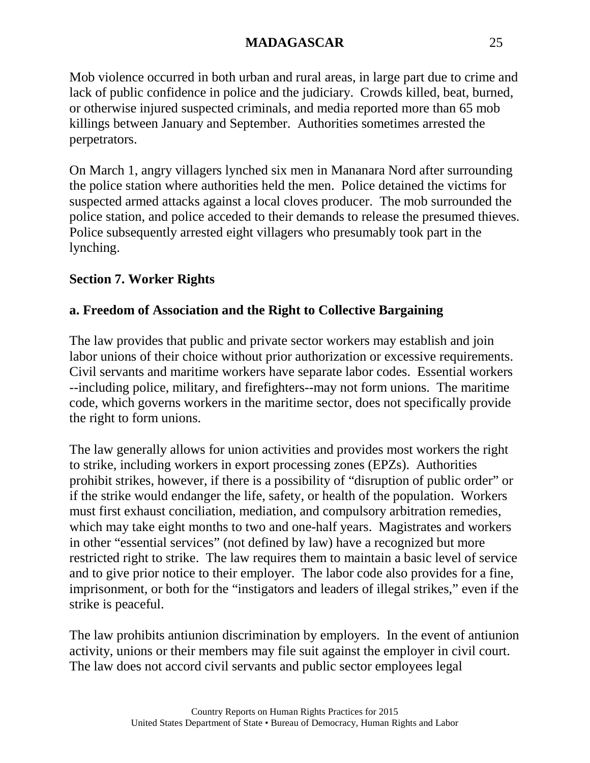Mob violence occurred in both urban and rural areas, in large part due to crime and lack of public confidence in police and the judiciary. Crowds killed, beat, burned, or otherwise injured suspected criminals, and media reported more than 65 mob killings between January and September. Authorities sometimes arrested the perpetrators.

On March 1, angry villagers lynched six men in Mananara Nord after surrounding the police station where authorities held the men. Police detained the victims for suspected armed attacks against a local cloves producer. The mob surrounded the police station, and police acceded to their demands to release the presumed thieves. Police subsequently arrested eight villagers who presumably took part in the lynching.

## **Section 7. Worker Rights**

## **a. Freedom of Association and the Right to Collective Bargaining**

The law provides that public and private sector workers may establish and join labor unions of their choice without prior authorization or excessive requirements. Civil servants and maritime workers have separate labor codes. Essential workers --including police, military, and firefighters--may not form unions. The maritime code, which governs workers in the maritime sector, does not specifically provide the right to form unions.

The law generally allows for union activities and provides most workers the right to strike, including workers in export processing zones (EPZs). Authorities prohibit strikes, however, if there is a possibility of "disruption of public order" or if the strike would endanger the life, safety, or health of the population. Workers must first exhaust conciliation, mediation, and compulsory arbitration remedies, which may take eight months to two and one-half years. Magistrates and workers in other "essential services" (not defined by law) have a recognized but more restricted right to strike. The law requires them to maintain a basic level of service and to give prior notice to their employer. The labor code also provides for a fine, imprisonment, or both for the "instigators and leaders of illegal strikes," even if the strike is peaceful.

The law prohibits antiunion discrimination by employers. In the event of antiunion activity, unions or their members may file suit against the employer in civil court. The law does not accord civil servants and public sector employees legal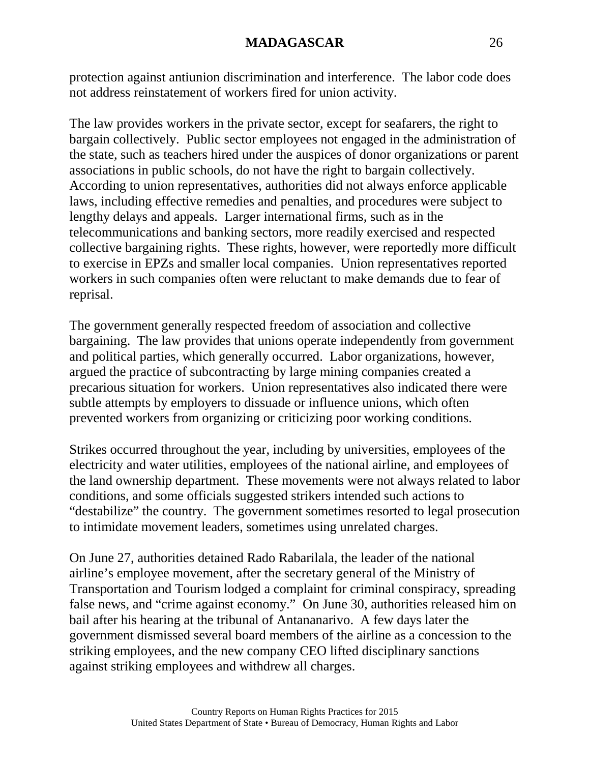protection against antiunion discrimination and interference. The labor code does not address reinstatement of workers fired for union activity.

The law provides workers in the private sector, except for seafarers, the right to bargain collectively. Public sector employees not engaged in the administration of the state, such as teachers hired under the auspices of donor organizations or parent associations in public schools, do not have the right to bargain collectively. According to union representatives, authorities did not always enforce applicable laws, including effective remedies and penalties, and procedures were subject to lengthy delays and appeals. Larger international firms, such as in the telecommunications and banking sectors, more readily exercised and respected collective bargaining rights. These rights, however, were reportedly more difficult to exercise in EPZs and smaller local companies. Union representatives reported workers in such companies often were reluctant to make demands due to fear of reprisal.

The government generally respected freedom of association and collective bargaining. The law provides that unions operate independently from government and political parties, which generally occurred. Labor organizations, however, argued the practice of subcontracting by large mining companies created a precarious situation for workers. Union representatives also indicated there were subtle attempts by employers to dissuade or influence unions, which often prevented workers from organizing or criticizing poor working conditions.

Strikes occurred throughout the year, including by universities, employees of the electricity and water utilities, employees of the national airline, and employees of the land ownership department. These movements were not always related to labor conditions, and some officials suggested strikers intended such actions to "destabilize" the country. The government sometimes resorted to legal prosecution to intimidate movement leaders, sometimes using unrelated charges.

On June 27, authorities detained Rado Rabarilala, the leader of the national airline's employee movement, after the secretary general of the Ministry of Transportation and Tourism lodged a complaint for criminal conspiracy, spreading false news, and "crime against economy." On June 30, authorities released him on bail after his hearing at the tribunal of Antananarivo. A few days later the government dismissed several board members of the airline as a concession to the striking employees, and the new company CEO lifted disciplinary sanctions against striking employees and withdrew all charges.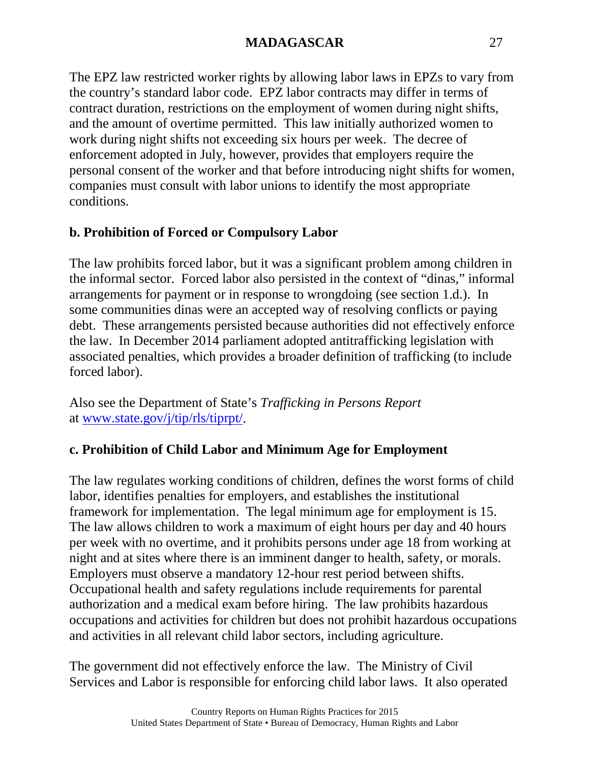The EPZ law restricted worker rights by allowing labor laws in EPZs to vary from the country's standard labor code. EPZ labor contracts may differ in terms of contract duration, restrictions on the employment of women during night shifts, and the amount of overtime permitted. This law initially authorized women to work during night shifts not exceeding six hours per week. The decree of enforcement adopted in July, however, provides that employers require the personal consent of the worker and that before introducing night shifts for women, companies must consult with labor unions to identify the most appropriate conditions.

# **b. Prohibition of Forced or Compulsory Labor**

The law prohibits forced labor, but it was a significant problem among children in the informal sector. Forced labor also persisted in the context of "dinas," informal arrangements for payment or in response to wrongdoing (see section 1.d.). In some communities dinas were an accepted way of resolving conflicts or paying debt. These arrangements persisted because authorities did not effectively enforce the law. In December 2014 parliament adopted antitrafficking legislation with associated penalties, which provides a broader definition of trafficking (to include forced labor).

Also see the Department of State's *Trafficking in Persons Report* at [www.state.gov/j/tip/rls/tiprpt/.](http://www.state.gov/j/tip/rls/tiprpt/)

# **c. Prohibition of Child Labor and Minimum Age for Employment**

The law regulates working conditions of children, defines the worst forms of child labor, identifies penalties for employers, and establishes the institutional framework for implementation. The legal minimum age for employment is 15. The law allows children to work a maximum of eight hours per day and 40 hours per week with no overtime, and it prohibits persons under age 18 from working at night and at sites where there is an imminent danger to health, safety, or morals. Employers must observe a mandatory 12-hour rest period between shifts. Occupational health and safety regulations include requirements for parental authorization and a medical exam before hiring. The law prohibits hazardous occupations and activities for children but does not prohibit hazardous occupations and activities in all relevant child labor sectors, including agriculture.

The government did not effectively enforce the law. The Ministry of Civil Services and Labor is responsible for enforcing child labor laws. It also operated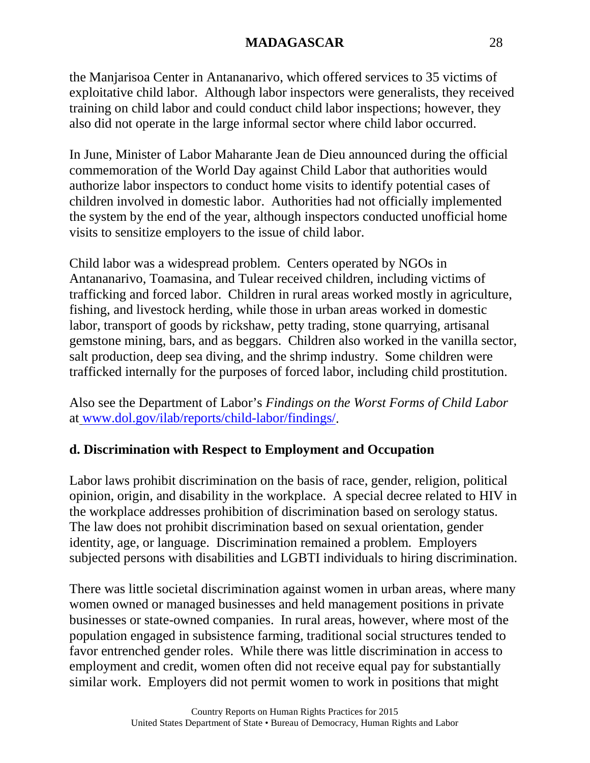the Manjarisoa Center in Antananarivo, which offered services to 35 victims of exploitative child labor. Although labor inspectors were generalists, they received training on child labor and could conduct child labor inspections; however, they also did not operate in the large informal sector where child labor occurred.

In June, Minister of Labor Maharante Jean de Dieu announced during the official commemoration of the World Day against Child Labor that authorities would authorize labor inspectors to conduct home visits to identify potential cases of children involved in domestic labor. Authorities had not officially implemented the system by the end of the year, although inspectors conducted unofficial home visits to sensitize employers to the issue of child labor.

Child labor was a widespread problem. Centers operated by NGOs in Antananarivo, Toamasina, and Tulear received children, including victims of trafficking and forced labor. Children in rural areas worked mostly in agriculture, fishing, and livestock herding, while those in urban areas worked in domestic labor, transport of goods by rickshaw, petty trading, stone quarrying, artisanal gemstone mining, bars, and as beggars. Children also worked in the vanilla sector, salt production, deep sea diving, and the shrimp industry. Some children were trafficked internally for the purposes of forced labor, including child prostitution.

Also see the Department of Labor's *Findings on the Worst Forms of Child Labor* at [www.dol.gov/ilab/reports/child-labor/findings/.](http://www.dol.gov/ilab/reports/child-labor/findings/)

# **d. Discrimination with Respect to Employment and Occupation**

Labor laws prohibit discrimination on the basis of race, gender, religion, political opinion, origin, and disability in the workplace. A special decree related to HIV in the workplace addresses prohibition of discrimination based on serology status. The law does not prohibit discrimination based on sexual orientation, gender identity, age, or language. Discrimination remained a problem. Employers subjected persons with disabilities and LGBTI individuals to hiring discrimination.

There was little societal discrimination against women in urban areas, where many women owned or managed businesses and held management positions in private businesses or state-owned companies. In rural areas, however, where most of the population engaged in subsistence farming, traditional social structures tended to favor entrenched gender roles. While there was little discrimination in access to employment and credit, women often did not receive equal pay for substantially similar work. Employers did not permit women to work in positions that might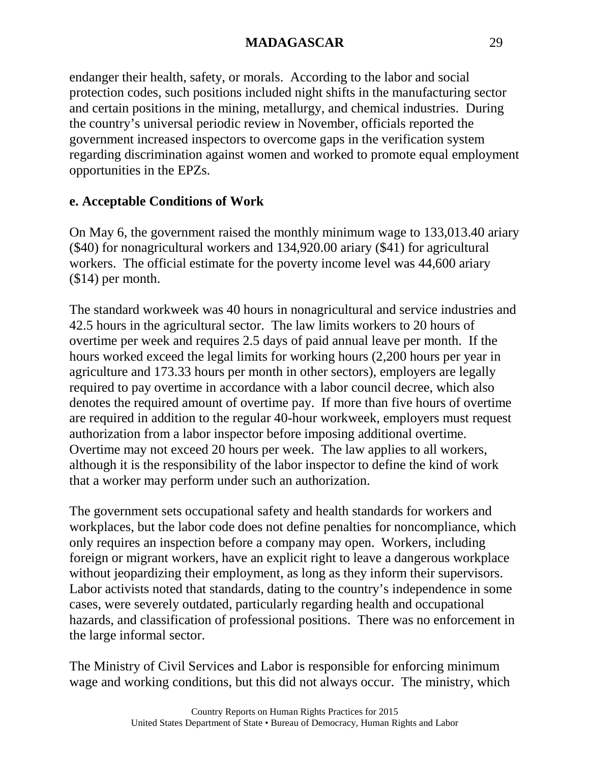endanger their health, safety, or morals. According to the labor and social protection codes, such positions included night shifts in the manufacturing sector and certain positions in the mining, metallurgy, and chemical industries. During the country's universal periodic review in November, officials reported the government increased inspectors to overcome gaps in the verification system regarding discrimination against women and worked to promote equal employment opportunities in the EPZs.

## **e. Acceptable Conditions of Work**

On May 6, the government raised the monthly minimum wage to 133,013.40 ariary (\$40) for nonagricultural workers and 134,920.00 ariary (\$41) for agricultural workers. The official estimate for the poverty income level was 44,600 ariary (\$14) per month.

The standard workweek was 40 hours in nonagricultural and service industries and 42.5 hours in the agricultural sector. The law limits workers to 20 hours of overtime per week and requires 2.5 days of paid annual leave per month. If the hours worked exceed the legal limits for working hours (2,200 hours per year in agriculture and 173.33 hours per month in other sectors), employers are legally required to pay overtime in accordance with a labor council decree, which also denotes the required amount of overtime pay. If more than five hours of overtime are required in addition to the regular 40-hour workweek, employers must request authorization from a labor inspector before imposing additional overtime. Overtime may not exceed 20 hours per week. The law applies to all workers, although it is the responsibility of the labor inspector to define the kind of work that a worker may perform under such an authorization.

The government sets occupational safety and health standards for workers and workplaces, but the labor code does not define penalties for noncompliance, which only requires an inspection before a company may open. Workers, including foreign or migrant workers, have an explicit right to leave a dangerous workplace without jeopardizing their employment, as long as they inform their supervisors. Labor activists noted that standards, dating to the country's independence in some cases, were severely outdated, particularly regarding health and occupational hazards, and classification of professional positions. There was no enforcement in the large informal sector.

The Ministry of Civil Services and Labor is responsible for enforcing minimum wage and working conditions, but this did not always occur. The ministry, which